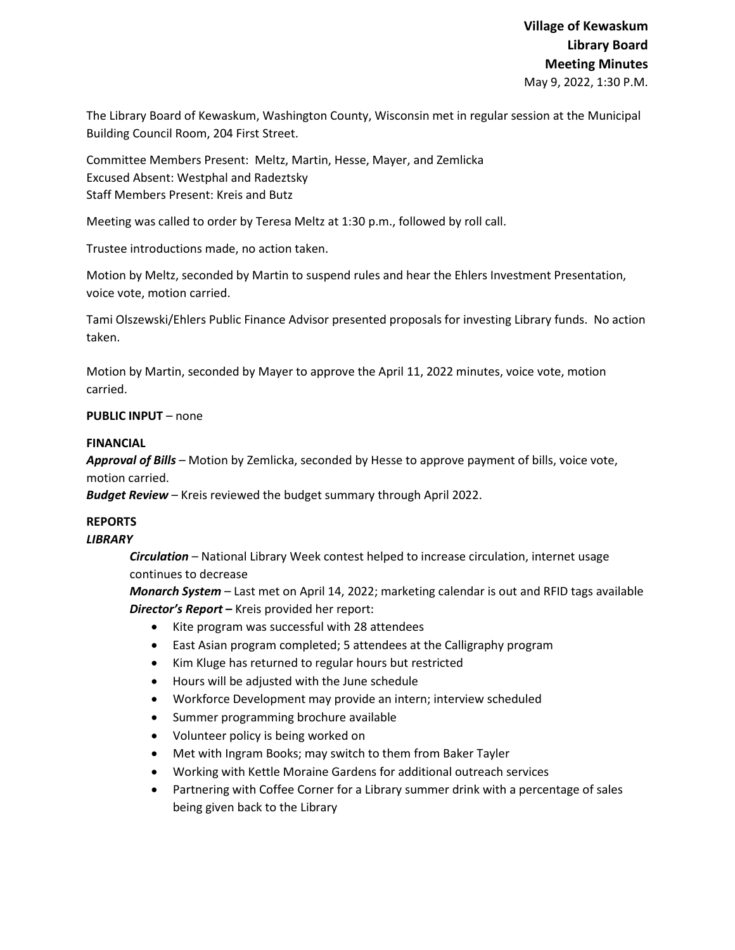The Library Board of Kewaskum, Washington County, Wisconsin met in regular session at the Municipal Building Council Room, 204 First Street.

Committee Members Present: Meltz, Martin, Hesse, Mayer, and Zemlicka Excused Absent: Westphal and Radeztsky Staff Members Present: Kreis and Butz

Meeting was called to order by Teresa Meltz at 1:30 p.m., followed by roll call.

Trustee introductions made, no action taken.

Motion by Meltz, seconded by Martin to suspend rules and hear the Ehlers Investment Presentation, voice vote, motion carried.

Tami Olszewski/Ehlers Public Finance Advisor presented proposals for investing Library funds. No action taken.

Motion by Martin, seconded by Mayer to approve the April 11, 2022 minutes, voice vote, motion carried.

## **PUBLIC INPUT** – none

### **FINANCIAL**

*Approval of Bills –* Motion by Zemlicka, seconded by Hesse to approve payment of bills, voice vote, motion carried.

*Budget Review* – Kreis reviewed the budget summary through April 2022.

# **REPORTS**

### *LIBRARY*

*Circulation* – National Library Week contest helped to increase circulation, internet usage continues to decrease

*Monarch System* – Last met on April 14, 2022; marketing calendar is out and RFID tags available *Director's Report* **–** Kreis provided her report:

- Kite program was successful with 28 attendees
- East Asian program completed; 5 attendees at the Calligraphy program
- Kim Kluge has returned to regular hours but restricted
- Hours will be adjusted with the June schedule
- Workforce Development may provide an intern; interview scheduled
- Summer programming brochure available
- Volunteer policy is being worked on
- Met with Ingram Books; may switch to them from Baker Tayler
- Working with Kettle Moraine Gardens for additional outreach services
- Partnering with Coffee Corner for a Library summer drink with a percentage of sales being given back to the Library